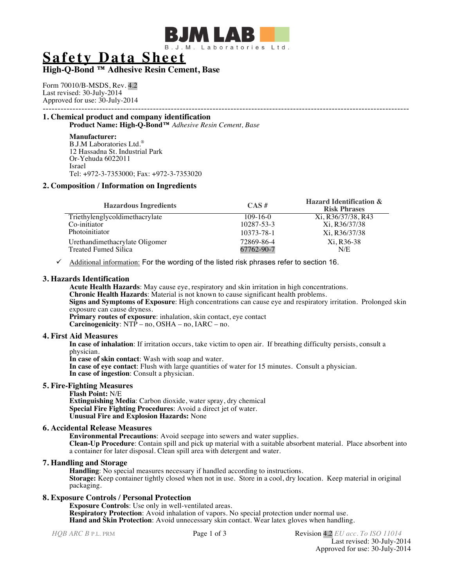

**Safety Data Sheet**

# **High-Q-Bond ™ Adhesive Resin Cement, Base**

Form 70010/B-MSDS, Rev. 4.2 Last revised: 30-July-2014 Approved for use: 30-July-2014

# --------------------------------------------------------------------------------------------------------------------------- **1. Chemical product and company identification**

**Product Name: High-Q-Bond™** *Adhesive Resin Cement, Base*

#### **Manufacturer:**

B.J.M Laboratories Ltd.® 12 Hassadna St. Industrial Park Or-Yehuda 6022011 Israel Tel: +972-3-7353000; Fax: +972-3-7353020

# **2. Composition / Information on Ingredients**

| <b>Hazardous Ingredients</b>   | $\mathbf{CAS}$ # | <b>Hazard Identification &amp;</b><br><b>Risk Phrases</b> |
|--------------------------------|------------------|-----------------------------------------------------------|
| Triethylenglycoldimethacrylate | $109-16-0$       | Xi, R36/37/38, R43                                        |
| Co-initiator                   | 10287-53-3       | Xi, R36/37/38                                             |
| Photoinitiator                 | 10373-78-1       | Xi, R36/37/38                                             |
| Urethandimethacrylate Oligomer | 72869-86-4       | Xi. R <sub>36</sub> -38                                   |
| Treated Fumed Silica           | 67762-90-7       | N/E                                                       |

 $\checkmark$  Additional information: For the wording of the listed risk phrases refer to section 16.

## **3. Hazards Identification**

**Acute Health Hazards**: May cause eye, respiratory and skin irritation in high concentrations.

**Chronic Health Hazards**: Material is not known to cause significant health problems.

**Signs and Symptoms of Exposure**: High concentrations can cause eye and respiratory irritation. Prolonged skin exposure can cause dryness.

**Primary routes of exposure**: inhalation, skin contact, eye contact **Carcinogenicity**: NTP – no, OSHA – no, IARC – no.

# **4. First Aid Measures**

**In case of inhalation**: If irritation occurs, take victim to open air. If breathing difficulty persists, consult a physician.

**In case of skin contact**: Wash with soap and water.

**In case of eye contact**: Flush with large quantities of water for 15 minutes. Consult a physician. **In case of ingestion**: Consult a physician.

## **5. Fire-Fighting Measures**

**Flash Point:** N/E **Extinguishing Media**: Carbon dioxide, water spray, dry chemical **Special Fire Fighting Procedures**: Avoid a direct jet of water. **Unusual Fire and Explosion Hazards:** None

# **6. Accidental Release Measures**

**Environmental Precautions**: Avoid seepage into sewers and water supplies. **Clean-Up Procedure**: Contain spill and pick up material with a suitable absorbent material. Place absorbent into a container for later disposal. Clean spill area with detergent and water.

## **7. Handling and Storage**

**Handling**: No special measures necessary if handled according to instructions. **Storage:** Keep container tightly closed when not in use. Store in a cool, dry location. Keep material in original packaging.

# **8. Exposure Controls / Personal Protection**

**Exposure Controls**: Use only in well-ventilated areas. **Respiratory Protection**: Avoid inhalation of vapors. No special protection under normal use. **Hand and Skin Protection**: Avoid unnecessary skin contact. Wear latex gloves when handling.

*HQB ARC B* **P.L. PRM Page 1 of 3 Revision 4.2** *EU acc. To ISO 11014* Last revised: 30-July-2014 Approved for use: 30-July-2014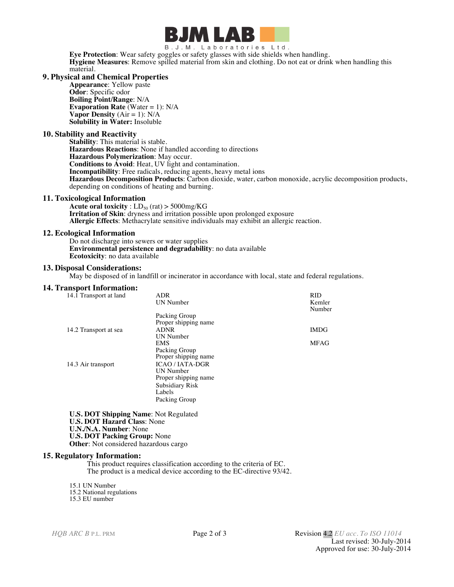

B.J.M. Laboratories Ltd.

**Eye Protection**: Wear safety goggles or safety glasses with side shields when handling. **Hygiene Measures**: Remove spilled material from skin and clothing. Do not eat or drink when handling this material.

### **9. Physical and Chemical Properties**

**Appearance**: Yellow paste **Odor**: Specific odor **Boiling Point/Range**: N/A **Evaporation Rate** (Water = 1): N/A **Vapor Density**  $(Air = 1)$ :  $N/A$ **Solubility in Water:** Insoluble

#### **10. Stability and Reactivity**

**Stability**: This material is stable. **Hazardous Reactions**: None if handled according to directions **Hazardous Polymerization**: May occur. **Conditions to Avoid**: Heat, UV light and contamination. **Incompatibility**: Free radicals, reducing agents, heavy metal ions **Hazardous Decomposition Products**: Carbon dioxide, water, carbon monoxide, acrylic decomposition products, depending on conditions of heating and burning.

#### **11. Toxicological Information**

**Acute oral toxicity** :  $LD_{50}$  (rat) > 5000mg/KG **Irritation of Skin**: dryness and irritation possible upon prolonged exposure **Allergic Effects**: Methacrylate sensitive individuals may exhibit an allergic reaction.

#### **12. Ecological Information**

Do not discharge into sewers or water supplies **Environmental persistence and degradability**: no data available **Ecotoxicity**: no data available

#### **13. Disposal Considerations:**

May be disposed of in landfill or incinerator in accordance with local, state and federal regulations.

#### **14. Transport Information:**

| 14.1 Transport at land | ADR                  | <b>RID</b>       |
|------------------------|----------------------|------------------|
|                        | UN Number            | Kemler<br>Number |
|                        | Packing Group        |                  |
|                        | Proper shipping name |                  |
| 14.2 Transport at sea  | <b>ADNR</b>          | <b>IMDG</b>      |
|                        | UN Number            |                  |
|                        | <b>EMS</b>           | <b>MFAG</b>      |
|                        | Packing Group        |                  |
|                        | Proper shipping name |                  |
| 14.3 Air transport     | <b>ICAO/IATA-DGR</b> |                  |
|                        | UN Number            |                  |
|                        | Proper shipping name |                  |
|                        | Subsidiary Risk      |                  |
|                        | Labels               |                  |
|                        | Packing Group        |                  |

**U.S. DOT Shipping Name**: Not Regulated **U.S. DOT Hazard Class**: None **U.N./N.A. Number**: None **U.S. DOT Packing Group:** None **Other**: Not considered hazardous cargo

# **15. Regulatory Information:**

This product requires classification according to the criteria of EC. The product is a medical device according to the EC-directive 93/42.

15.1 UN Number 15.2 National regulations 15.3 EU number